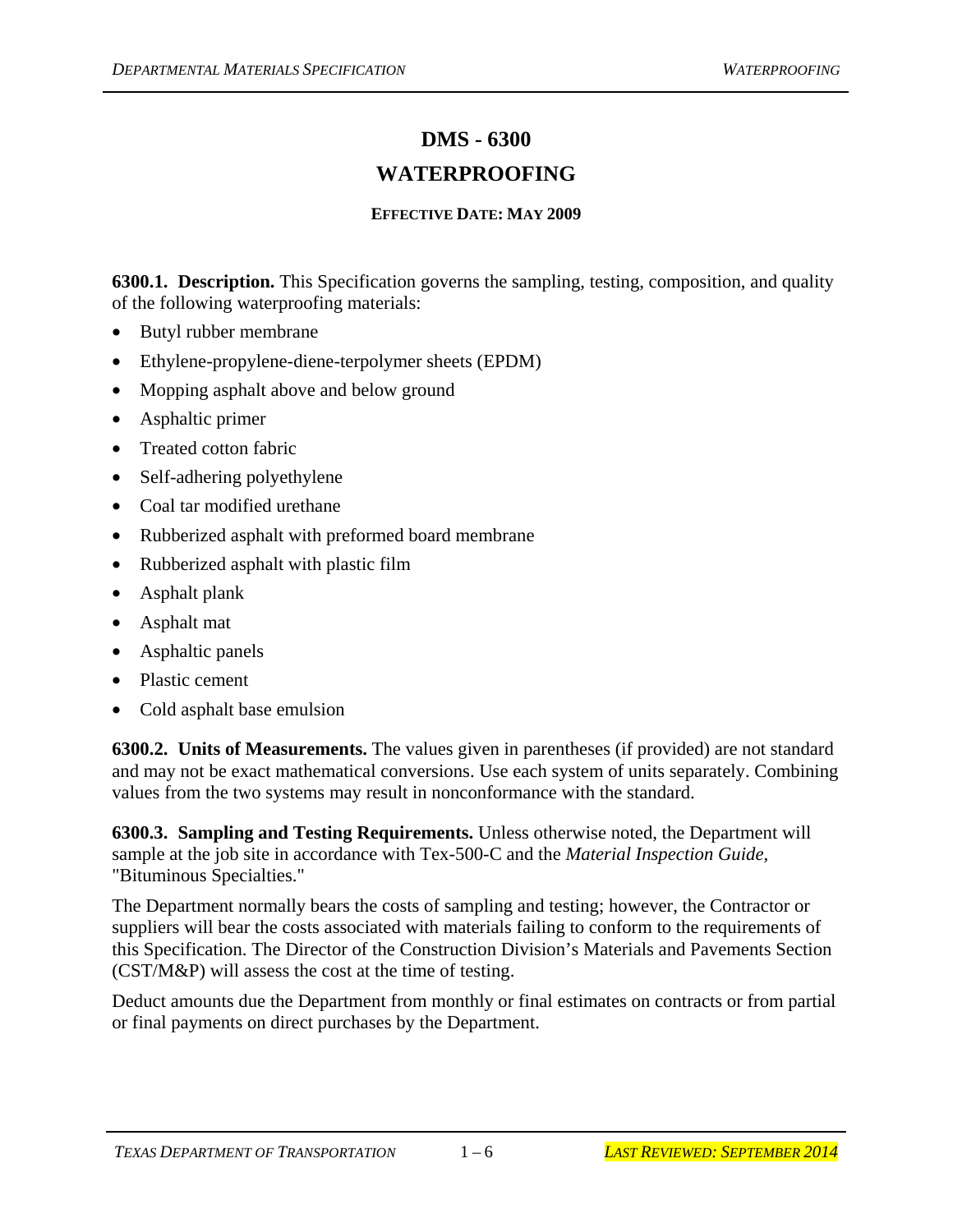# **DMS - 6300**

## **WATERPROOFING**

#### **EFFECTIVE DATE: MAY 2009**

**6300.1. Description.** This Specification governs the sampling, testing, composition, and quality of the following waterproofing materials:

- Butyl rubber membrane
- Ethylene-propylene-diene-terpolymer sheets (EPDM)
- Mopping asphalt above and below ground
- Asphaltic primer
- Treated cotton fabric
- Self-adhering polyethylene
- Coal tar modified urethane
- Rubberized asphalt with preformed board membrane
- Rubberized asphalt with plastic film
- Asphalt plank
- Asphalt mat
- Asphaltic panels
- Plastic cement
- Cold asphalt base emulsion

**6300.2. Units of Measurements.** The values given in parentheses (if provided) are not standard and may not be exact mathematical conversions. Use each system of units separately. Combining values from the two systems may result in nonconformance with the standard.

**6300.3. Sampling and Testing Requirements.** Unless otherwise noted, the Department will sample at the job site in accordance with Tex-500-C and the *Material Inspection Guide,*  "Bituminous Specialties."

The Department normally bears the costs of sampling and testing; however, the Contractor or suppliers will bear the costs associated with materials failing to conform to the requirements of this Specification. The Director of the Construction Division's Materials and Pavements Section (CST/M&P) will assess the cost at the time of testing.

Deduct amounts due the Department from monthly or final estimates on contracts or from partial or final payments on direct purchases by the Department.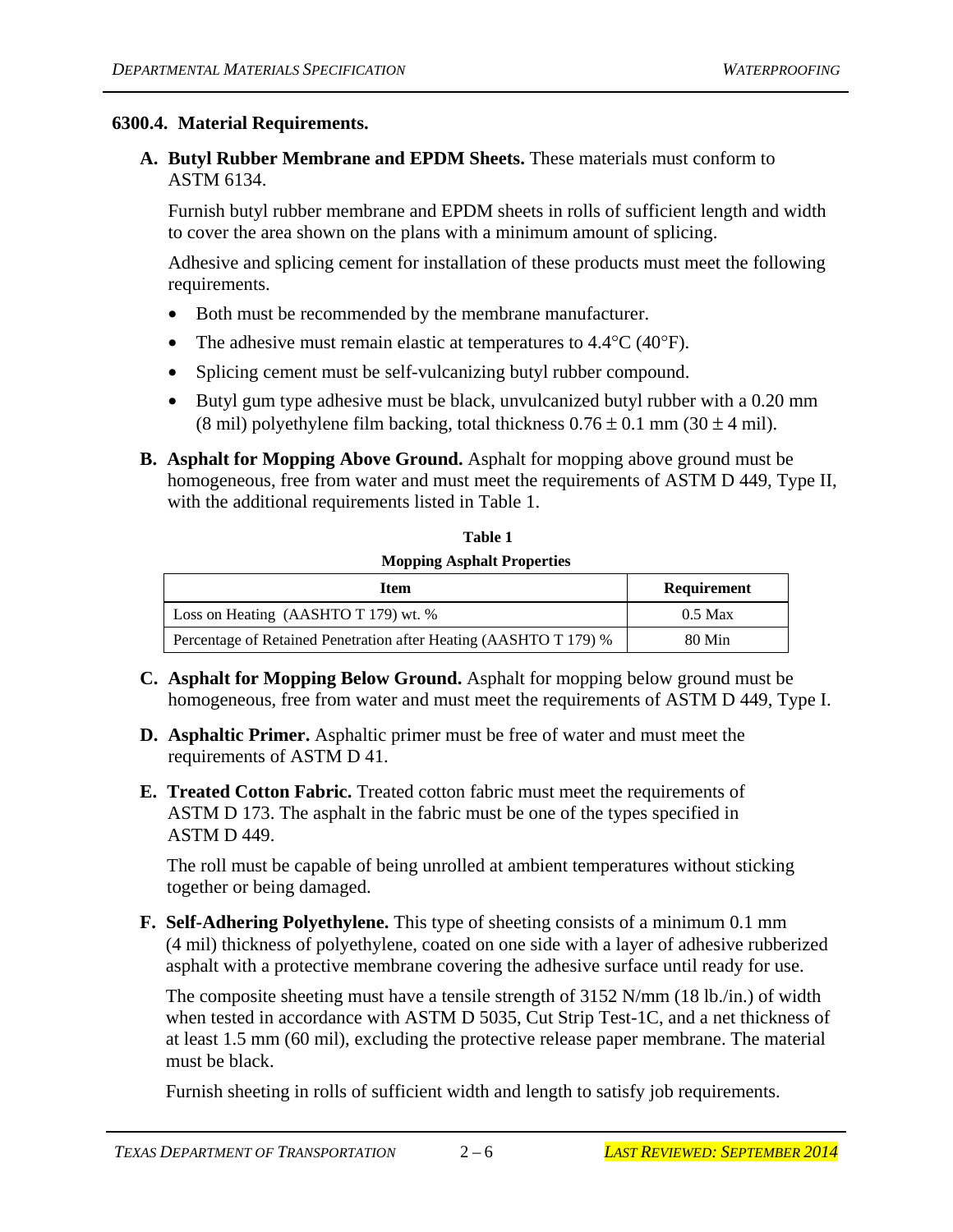#### **6300.4. Material Requirements.**

**A. Butyl Rubber Membrane and EPDM Sheets.** These materials must conform to ASTM 6134.

Furnish butyl rubber membrane and EPDM sheets in rolls of sufficient length and width to cover the area shown on the plans with a minimum amount of splicing.

Adhesive and splicing cement for installation of these products must meet the following requirements.

- Both must be recommended by the membrane manufacturer.
- The adhesive must remain elastic at temperatures to  $4.4^{\circ}$ C ( $40^{\circ}$ F).
- Splicing cement must be self-vulcanizing butyl rubber compound.
- Butyl gum type adhesive must be black, unvulcanized butyl rubber with a 0.20 mm (8 mil) polyethylene film backing, total thickness  $0.76 \pm 0.1$  mm (30  $\pm$  4 mil).
- **B. Asphalt for Mopping Above Ground.** Asphalt for mopping above ground must be homogeneous, free from water and must meet the requirements of ASTM D 449, Type II, with the additional requirements listed in Table 1.

 **Table 1 Mopping Asphalt Properties** 

| Item                                                              | Requirement |
|-------------------------------------------------------------------|-------------|
| Loss on Heating (AASHTO T 179) wt. %                              | $0.5$ Max   |
| Percentage of Retained Penetration after Heating (AASHTO T 179) % | 80 Min      |

- **C. Asphalt for Mopping Below Ground.** Asphalt for mopping below ground must be homogeneous, free from water and must meet the requirements of ASTM D 449, Type I.
- **D. Asphaltic Primer.** Asphaltic primer must be free of water and must meet the requirements of ASTM D 41.
- **E. Treated Cotton Fabric.** Treated cotton fabric must meet the requirements of ASTM D 173. The asphalt in the fabric must be one of the types specified in ASTM D 449.

The roll must be capable of being unrolled at ambient temperatures without sticking together or being damaged.

**F. Self-Adhering Polyethylene.** This type of sheeting consists of a minimum 0.1 mm (4 mil) thickness of polyethylene, coated on one side with a layer of adhesive rubberized asphalt with a protective membrane covering the adhesive surface until ready for use.

The composite sheeting must have a tensile strength of 3152 N/mm (18 lb./in.) of width when tested in accordance with ASTM D 5035, Cut Strip Test-1C, and a net thickness of at least 1.5 mm (60 mil), excluding the protective release paper membrane. The material must be black.

Furnish sheeting in rolls of sufficient width and length to satisfy job requirements.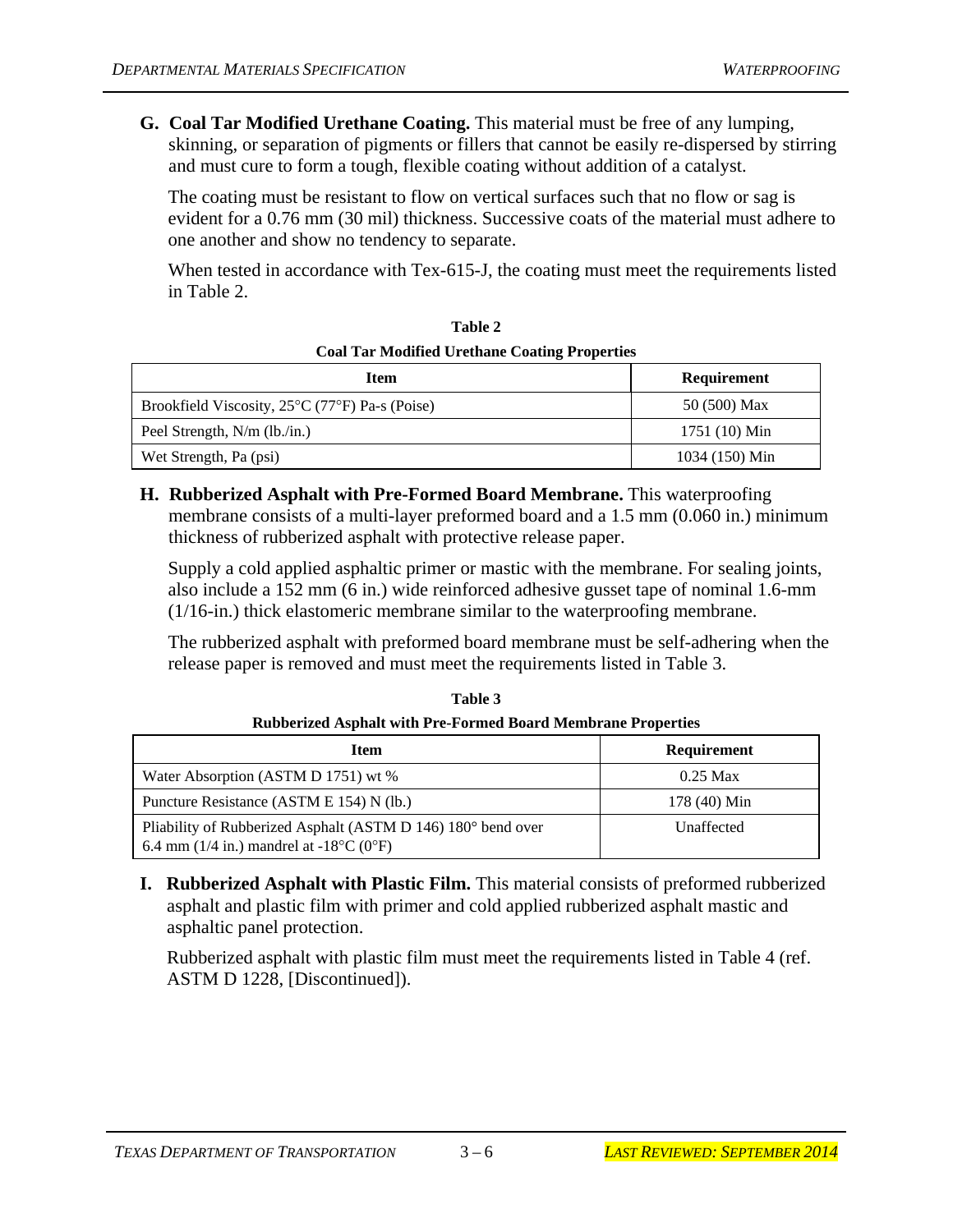**G. Coal Tar Modified Urethane Coating.** This material must be free of any lumping, skinning, or separation of pigments or fillers that cannot be easily re-dispersed by stirring and must cure to form a tough, flexible coating without addition of a catalyst.

The coating must be resistant to flow on vertical surfaces such that no flow or sag is evident for a 0.76 mm (30 mil) thickness. Successive coats of the material must adhere to one another and show no tendency to separate.

When tested in accordance with Tex-615-J, the coating must meet the requirements listed in Table 2.

| Coal Tar Modified Orginane Coating Properties  |                |  |
|------------------------------------------------|----------------|--|
| Item                                           | Requirement    |  |
| Brookfield Viscosity, 25°C (77°F) Pa-s (Poise) | 50 (500) Max   |  |
| Peel Strength, N/m (lb./in.)                   | 1751 (10) Min  |  |
| Wet Strength, Pa (psi)                         | 1034 (150) Min |  |

| Table 2                                              |  |
|------------------------------------------------------|--|
| <b>Coal Tar Modified Urethane Coating Properties</b> |  |

**H. Rubberized Asphalt with Pre-Formed Board Membrane.** This waterproofing membrane consists of a multi-layer preformed board and a 1.5 mm (0.060 in.) minimum thickness of rubberized asphalt with protective release paper.

Supply a cold applied asphaltic primer or mastic with the membrane. For sealing joints, also include a 152 mm (6 in.) wide reinforced adhesive gusset tape of nominal 1.6-mm (1/16-in.) thick elastomeric membrane similar to the waterproofing membrane.

The rubberized asphalt with preformed board membrane must be self-adhering when the release paper is removed and must meet the requirements listed in Table 3.

| <b>Item</b>                                                                                                                   | <b>Requirement</b> |
|-------------------------------------------------------------------------------------------------------------------------------|--------------------|
| Water Absorption (ASTM D 1751) wt %                                                                                           | $0.25$ Max         |
| Puncture Resistance (ASTM E 154) N (lb.)                                                                                      | 178 (40) Min       |
| Pliability of Rubberized Asphalt (ASTM D 146) 180° bend over<br>6.4 mm (1/4 in.) mandrel at -18 $^{\circ}$ C (0 $^{\circ}$ F) | Unaffected         |

**Table 3 Rubberized Asphalt with Pre-Formed Board Membrane Properties** 

**I. Rubberized Asphalt with Plastic Film.** This material consists of preformed rubberized asphalt and plastic film with primer and cold applied rubberized asphalt mastic and asphaltic panel protection.

Rubberized asphalt with plastic film must meet the requirements listed in Table 4 (ref. ASTM D 1228, [Discontinued]).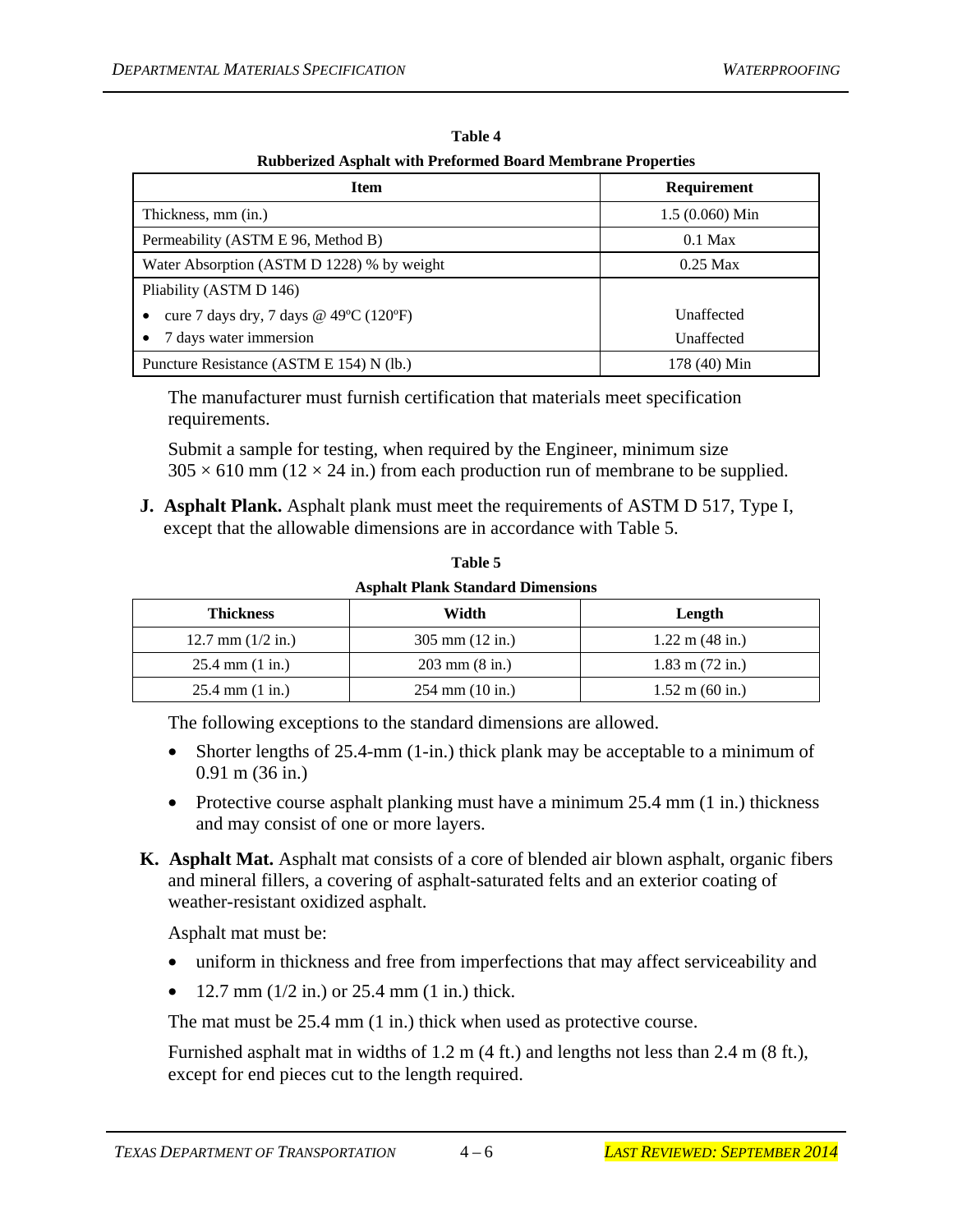| Rubberized Asphalt with Freibrined Doard Membrane Froperies |                    |  |
|-------------------------------------------------------------|--------------------|--|
| <b>Item</b>                                                 | <b>Requirement</b> |  |
| Thickness, mm (in.)                                         | $1.5(0.060)$ Min   |  |
| Permeability (ASTM E 96, Method B)                          | $0.1$ Max          |  |
| Water Absorption (ASTM D 1228) % by weight                  | $0.25$ Max         |  |
| Pliability (ASTM D 146)                                     |                    |  |
| cure 7 days dry, 7 days @ 49°C (120°F)                      | Unaffected         |  |
| 7 days water immersion                                      | Unaffected         |  |
| Puncture Resistance (ASTM E 154) N (lb.)                    | 178 (40) Min       |  |

**Table 4 Rubberized Asphalt with Preformed Board Membrane Properties** 

The manufacturer must furnish certification that materials meet specification requirements.

Submit a sample for testing, when required by the Engineer, minimum size  $305 \times 610$  mm ( $12 \times 24$  in.) from each production run of membrane to be supplied.

**J. Asphalt Plank.** Asphalt plank must meet the requirements of ASTM D 517, Type I, except that the allowable dimensions are in accordance with Table 5.

| <b>Thickness</b>                  | <b>Asphalt Plank Standard Dimensions</b><br>Width | Length                    |
|-----------------------------------|---------------------------------------------------|---------------------------|
| 12.7 mm $(1/2$ in.)               | $305 \text{ mm}$ (12 in.)                         | $1.22 \text{ m}$ (48 in.) |
| $25.4 \text{ mm} (1 \text{ in.})$ | $203 \text{ mm}$ (8 in.)                          | $1.83$ m $(72$ in.)       |
| $25.4$ mm $(1 \text{ in.})$       | $254 \text{ mm}$ (10 in.)                         | $1.52 \text{ m}$ (60 in.) |

**Table 5 Asphalt Plank Standard Dimensions** 

The following exceptions to the standard dimensions are allowed.

- Shorter lengths of 25.4-mm (1-in.) thick plank may be acceptable to a minimum of 0.91 m (36 in.)
- Protective course asphalt planking must have a minimum 25.4 mm (1 in.) thickness and may consist of one or more layers.
- **K. Asphalt Mat.** Asphalt mat consists of a core of blended air blown asphalt, organic fibers and mineral fillers, a covering of asphalt-saturated felts and an exterior coating of weather-resistant oxidized asphalt.

Asphalt mat must be:

- uniform in thickness and free from imperfections that may affect serviceability and
- 12.7 mm  $(1/2 \text{ in.})$  or 25.4 mm  $(1 \text{ in.})$  thick.

The mat must be 25.4 mm (1 in.) thick when used as protective course.

Furnished asphalt mat in widths of 1.2 m (4 ft.) and lengths not less than 2.4 m (8 ft.), except for end pieces cut to the length required.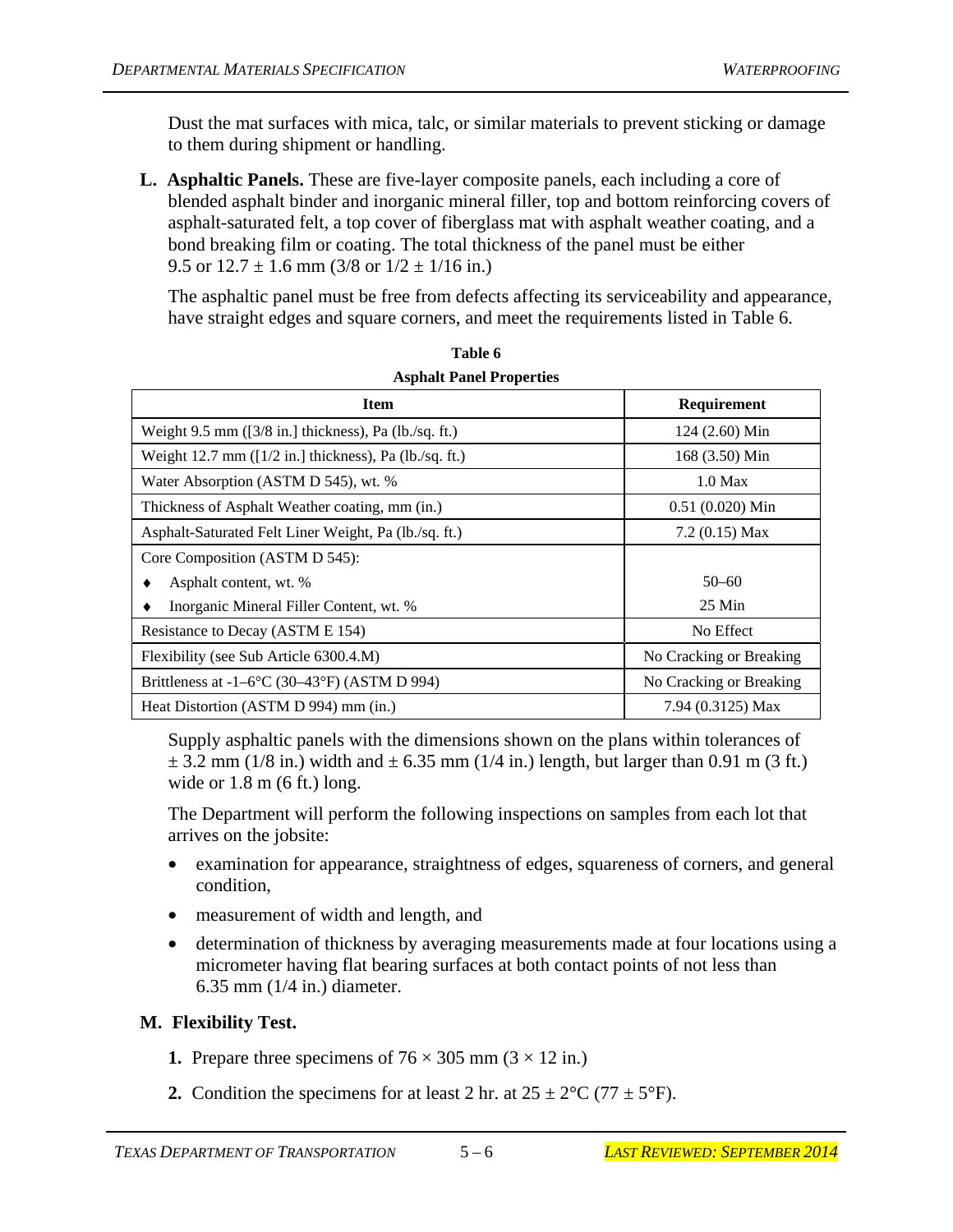Dust the mat surfaces with mica, talc, or similar materials to prevent sticking or damage to them during shipment or handling.

**L. Asphaltic Panels.** These are five-layer composite panels, each including a core of blended asphalt binder and inorganic mineral filler, top and bottom reinforcing covers of asphalt-saturated felt, a top cover of fiberglass mat with asphalt weather coating, and a bond breaking film or coating. The total thickness of the panel must be either 9.5 or  $12.7 \pm 1.6$  mm  $(3/8$  or  $1/2 \pm 1/16$  in.)

The asphaltic panel must be free from defects affecting its serviceability and appearance, have straight edges and square corners, and meet the requirements listed in Table 6.

| <b>Item</b>                                                     | Requirement             |
|-----------------------------------------------------------------|-------------------------|
| Weight $9.5$ mm ( $\left[3/8$ in.) thickness), Pa (lb./sq. ft.) | 124 (2.60) Min          |
| Weight 12.7 mm $(1/2$ in.] thickness), Pa $(lb$ ./sq. ft.)      | 168 (3.50) Min          |
| Water Absorption (ASTM D 545), wt. %                            | $1.0$ Max               |
| Thickness of Asphalt Weather coating, mm (in.)                  | $0.51(0.020)$ Min       |
| Asphalt-Saturated Felt Liner Weight, Pa (lb./sq. ft.)           | $7.2(0.15)$ Max         |
| Core Composition (ASTM D 545):                                  |                         |
| Asphalt content, wt. %                                          | $50 - 60$               |
| Inorganic Mineral Filler Content, wt. %                         | $25$ Min                |
| Resistance to Decay (ASTM E 154)                                | No Effect               |
| Flexibility (see Sub Article 6300.4.M)                          | No Cracking or Breaking |
| Brittleness at $-1-6$ °C (30–43°F) (ASTM D 994)                 | No Cracking or Breaking |
| Heat Distortion (ASTM D 994) mm (in.)                           | 7.94 (0.3125) Max       |

| Table 6                         |  |
|---------------------------------|--|
| <b>Asphalt Panel Properties</b> |  |

Supply asphaltic panels with the dimensions shown on the plans within tolerances of  $\pm$  3.2 mm (1/8 in.) width and  $\pm$  6.35 mm (1/4 in.) length, but larger than 0.91 m (3 ft.) wide or  $1.8 \text{ m}$  (6 ft.) long.

The Department will perform the following inspections on samples from each lot that arrives on the jobsite:

- examination for appearance, straightness of edges, squareness of corners, and general condition,
- measurement of width and length, and
- determination of thickness by averaging measurements made at four locations using a micrometer having flat bearing surfaces at both contact points of not less than 6.35 mm (1/4 in.) diameter.

### **M. Flexibility Test.**

- **1.** Prepare three specimens of  $76 \times 305$  mm  $(3 \times 12)$  in.)
- **2.** Condition the specimens for at least 2 hr. at  $25 \pm 2^{\circ}C$  (77  $\pm 5^{\circ}F$ ).